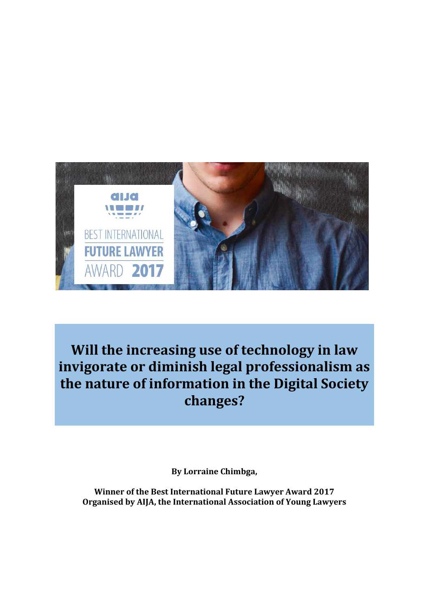

**Will the increasing use of technology in law invigorate or diminish legal professionalism as the nature of information in the Digital Society changes?**

**By Lorraine Chimbga,** 

**Winner of the Best International Future Lawyer Award 2017 Organised by AIJA, the International Association of Young Lawyers**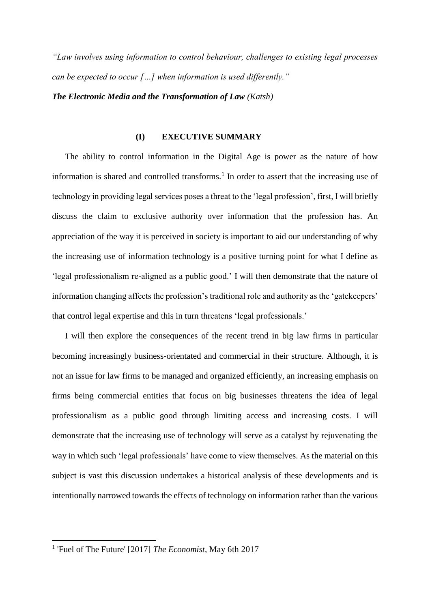*"Law involves using information to control behaviour, challenges to existing legal processes can be expected to occur […] when information is used differently."*

*The Electronic Media and the Transformation of Law (Katsh)* 

### **(I) EXECUTIVE SUMMARY**

The ability to control information in the Digital Age is power as the nature of how information is shared and controlled transforms.<sup>1</sup> In order to assert that the increasing use of technology in providing legal services poses a threat to the 'legal profession', first, I will briefly discuss the claim to exclusive authority over information that the profession has. An appreciation of the way it is perceived in society is important to aid our understanding of why the increasing use of information technology is a positive turning point for what I define as 'legal professionalism re-aligned as a public good.' I will then demonstrate that the nature of information changing affects the profession's traditional role and authority as the 'gatekeepers' that control legal expertise and this in turn threatens 'legal professionals.'

I will then explore the consequences of the recent trend in big law firms in particular becoming increasingly business-orientated and commercial in their structure. Although, it is not an issue for law firms to be managed and organized efficiently, an increasing emphasis on firms being commercial entities that focus on big businesses threatens the idea of legal professionalism as a public good through limiting access and increasing costs. I will demonstrate that the increasing use of technology will serve as a catalyst by rejuvenating the way in which such 'legal professionals' have come to view themselves. As the material on this subject is vast this discussion undertakes a historical analysis of these developments and is intentionally narrowed towards the effects of technology on information rather than the various

<sup>1</sup> 'Fuel of The Future' [2017] *The Economist,* May 6th 2017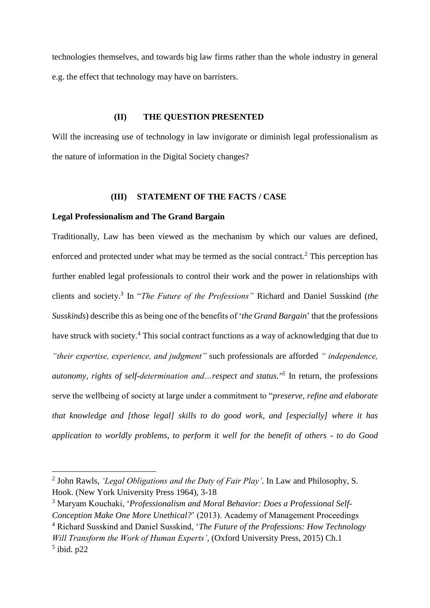technologies themselves, and towards big law firms rather than the whole industry in general e.g. the effect that technology may have on barristers.

## **(II) THE QUESTION PRESENTED**

Will the increasing use of technology in law invigorate or diminish legal professionalism as the nature of information in the Digital Society changes?

## **(III) STATEMENT OF THE FACTS / CASE**

#### **Legal Professionalism and The Grand Bargain**

 $\overline{a}$ 

Traditionally, Law has been viewed as the mechanism by which our values are defined, enforced and protected under what may be termed as the social contract.<sup>2</sup> This perception has further enabled legal professionals to control their work and the power in relationships with clients and society.<sup>3</sup> In "*The Future of the Professions"* Richard and Daniel Susskind (*the Susskinds*) describe this as being one of the benefits of '*the Grand Bargain*' that the professions have struck with society.<sup>4</sup> This social contract functions as a way of acknowledging that due to *"their expertise, experience, and judgment"* such professionals are afforded *" independence, autonomy, rights of self-determination and…respect and status."<sup>5</sup>* In return, the professions serve the wellbeing of society at large under a commitment to "*preserve, refine and elaborate that knowledge and [those legal] skills to do good work, and [especially] where it has application to worldly problems, to perform it well for the benefit of others - to do Good* 

<sup>2</sup> John Rawls, *'Legal Obligations and the Duty of Fair Play'*. In Law and Philosophy, S. Hook. (New York University Press 1964), 3-18

<sup>3</sup> Maryam Kouchaki, '*Professionalism and Moral Behavior: Does a Professional Self-Conception Make One More Unethical?*' (2013). Academy of Management Proceedings

<sup>4</sup> Richard Susskind and Daniel Susskind, '*The Future of the Professions: How Technology Will Transform the Work of Human Experts'*, (Oxford University Press, 2015) Ch.1  $<sup>5</sup>$  ibid. p22</sup>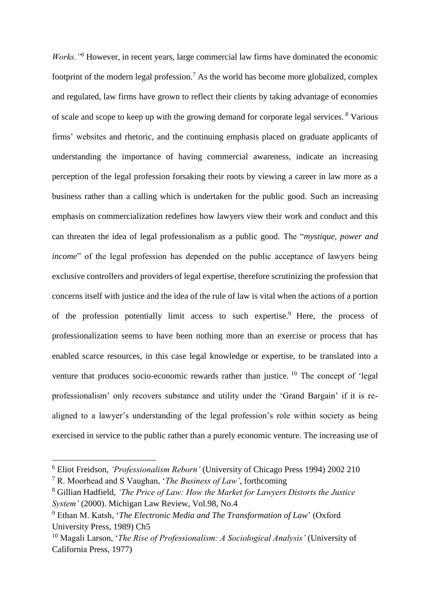*Works."<sup>6</sup>* However, in recent years, large commercial law firms have dominated the economic footprint of the modern legal profession.<sup>7</sup> As the world has become more globalized, complex and regulated, law firms have grown to reflect their clients by taking advantage of economies of scale and scope to keep up with the growing demand for corporate legal services. <sup>8</sup> Various firms' websites and rhetoric, and the continuing emphasis placed on graduate applicants of understanding the importance of having commercial awareness, indicate an increasing perception of the legal profession forsaking their roots by viewing a career in law more as a business rather than a calling which is undertaken for the public good. Such an increasing emphasis on commercialization redefines how lawyers view their work and conduct and this can threaten the idea of legal professionalism as a public good. The "*mystique, power and income*" of the legal profession has depended on the public acceptance of lawyers being exclusive controllers and providers of legal expertise, therefore scrutinizing the profession that concerns itself with justice and the idea of the rule of law is vital when the actions of a portion of the profession potentially limit access to such expertise.<sup>9</sup> Here, the process of professionalization seems to have been nothing more than an exercise or process that has enabled scarce resources, in this case legal knowledge or expertise, to be translated into a venture that produces socio-economic rewards rather than justice.  $10$  The concept of 'legal professionalism' only recovers substance and utility under the 'Grand Bargain' if it is realigned to a lawyer's understanding of the legal profession's role within society as being exercised in service to the public rather than a purely economic venture. The increasing use of

<sup>6</sup> Eliot Freidson, *'Professionalism Reborn'* (University of Chicago Press 1994) 2002 210

<sup>7</sup> R. Moorhead and S Vaughan, '*The Business of Law'*, forthcoming

<sup>8</sup> Gillian Hadfield, *'The Price of Law: How the Market for Lawyers Distorts the Justice System'* (2000). Michigan Law Review, Vol.98, No.4

<sup>9</sup> Ethan M. Katsh, '*The Electronic Media and The Transformation of Law*' (Oxford University Press, 1989) Ch5

<sup>10</sup> Magali Larson, '*The Rise of Professionalism: A Sociological Analysis'* (University of California Press, 1977)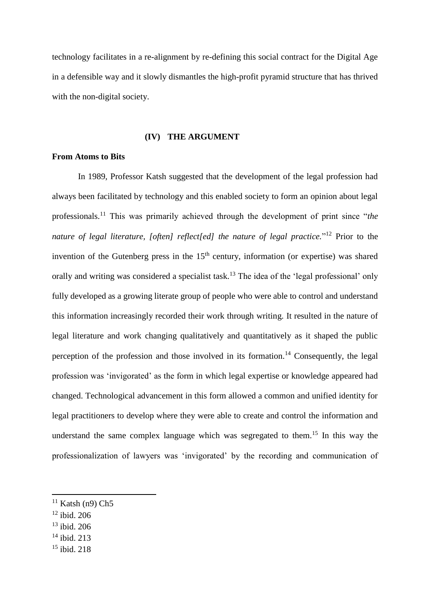technology facilitates in a re-alignment by re-defining this social contract for the Digital Age in a defensible way and it slowly dismantles the high-profit pyramid structure that has thrived with the non-digital society.

## **(IV) THE ARGUMENT**

# **From Atoms to Bits**

In 1989, Professor Katsh suggested that the development of the legal profession had always been facilitated by technology and this enabled society to form an opinion about legal professionals.<sup>11</sup> This was primarily achieved through the development of print since "*the nature of legal literature, [often] reflect[ed] the nature of legal practice.*" <sup>12</sup> Prior to the invention of the Gutenberg press in the  $15<sup>th</sup>$  century, information (or expertise) was shared orally and writing was considered a specialist task.<sup>13</sup> The idea of the 'legal professional' only fully developed as a growing literate group of people who were able to control and understand this information increasingly recorded their work through writing. It resulted in the nature of legal literature and work changing qualitatively and quantitatively as it shaped the public perception of the profession and those involved in its formation.<sup>14</sup> Consequently, the legal profession was 'invigorated' as the form in which legal expertise or knowledge appeared had changed. Technological advancement in this form allowed a common and unified identity for legal practitioners to develop where they were able to create and control the information and understand the same complex language which was segregated to them.<sup>15</sup> In this way the professionalization of lawyers was 'invigorated' by the recording and communication of

 $12$  ibid. 206

l

- $13$  ibid. 206
- <sup>14</sup> ibid. 213
- <sup>15</sup> ibid. 218

 $11$  Katsh (n9) Ch5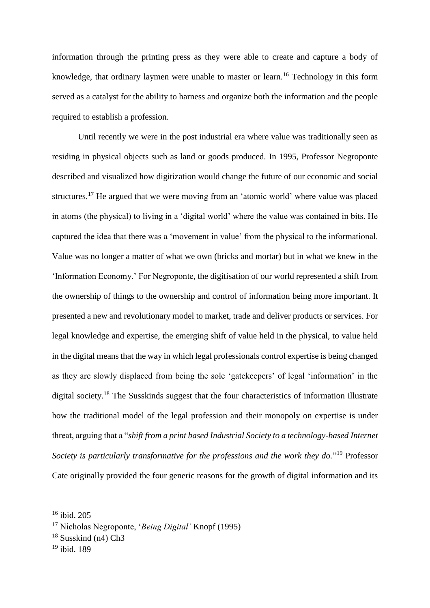information through the printing press as they were able to create and capture a body of knowledge, that ordinary laymen were unable to master or learn.<sup>16</sup> Technology in this form served as a catalyst for the ability to harness and organize both the information and the people required to establish a profession.

Until recently we were in the post industrial era where value was traditionally seen as residing in physical objects such as land or goods produced. In 1995, Professor Negroponte described and visualized how digitization would change the future of our economic and social structures.<sup>17</sup> He argued that we were moving from an 'atomic world' where value was placed in atoms (the physical) to living in a 'digital world' where the value was contained in bits. He captured the idea that there was a 'movement in value' from the physical to the informational. Value was no longer a matter of what we own (bricks and mortar) but in what we knew in the 'Information Economy.' For Negroponte, the digitisation of our world represented a shift from the ownership of things to the ownership and control of information being more important. It presented a new and revolutionary model to market, trade and deliver products or services. For legal knowledge and expertise, the emerging shift of value held in the physical, to value held in the digital means that the way in which legal professionals control expertise is being changed as they are slowly displaced from being the sole 'gatekeepers' of legal 'information' in the digital society.<sup>18</sup> The Susskinds suggest that the four characteristics of information illustrate how the traditional model of the legal profession and their monopoly on expertise is under threat, arguing that a "*shift from a print based Industrial Society to a technology-based Internet*  Society is particularly transformative for the professions and the work they do."<sup>19</sup> Professor Cate originally provided the four generic reasons for the growth of digital information and its

<sup>16</sup> ibid. 205

<sup>17</sup> Nicholas Negroponte, '*Being Digital'* Knopf (1995)

<sup>&</sup>lt;sup>18</sup> Susskind (n4) Ch3

<sup>19</sup> ibid. 189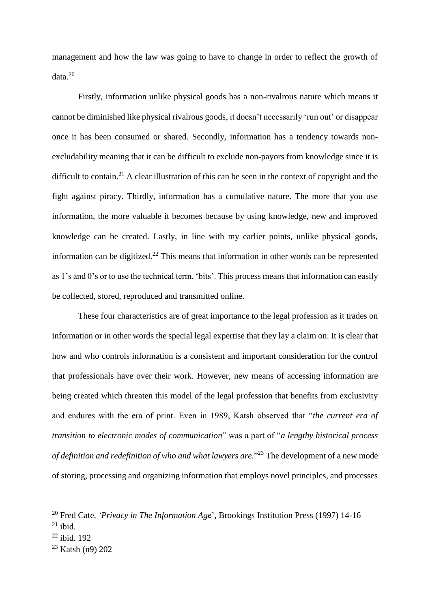management and how the law was going to have to change in order to reflect the growth of data.<sup>20</sup>

Firstly, information unlike physical goods has a non-rivalrous nature which means it cannot be diminished like physical rivalrous goods, it doesn't necessarily 'run out' or disappear once it has been consumed or shared. Secondly, information has a tendency towards nonexcludability meaning that it can be difficult to exclude non-payors from knowledge since it is difficult to contain.<sup>21</sup> A clear illustration of this can be seen in the context of copyright and the fight against piracy. Thirdly, information has a cumulative nature. The more that you use information, the more valuable it becomes because by using knowledge, new and improved knowledge can be created. Lastly, in line with my earlier points, unlike physical goods, information can be digitized.<sup>22</sup> This means that information in other words can be represented as 1's and 0's or to use the technical term, 'bits'. This process means that information can easily be collected, stored, reproduced and transmitted online.

These four characteristics are of great importance to the legal profession as it trades on information or in other words the special legal expertise that they lay a claim on. It is clear that how and who controls information is a consistent and important consideration for the control that professionals have over their work. However, new means of accessing information are being created which threaten this model of the legal profession that benefits from exclusivity and endures with the era of print. Even in 1989, Katsh observed that "*the current era of transition to electronic modes of communication*" was a part of "*a lengthy historical process of definition and redefinition of who and what lawyers are.*" <sup>23</sup> The development of a new mode of storing, processing and organizing information that employs novel principles, and processes

<sup>20</sup> Fred Cate, *'Privacy in The Information Ag*e', Brookings Institution Press (1997) 14-16

 $21$  ibid.

 $22$  ibid. 192

<sup>23</sup> Katsh (n9) 202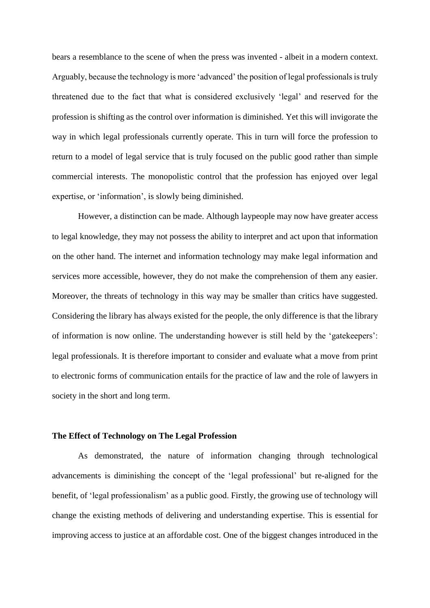bears a resemblance to the scene of when the press was invented - albeit in a modern context. Arguably, because the technology is more 'advanced' the position of legal professionals is truly threatened due to the fact that what is considered exclusively 'legal' and reserved for the profession is shifting as the control over information is diminished. Yet this will invigorate the way in which legal professionals currently operate. This in turn will force the profession to return to a model of legal service that is truly focused on the public good rather than simple commercial interests. The monopolistic control that the profession has enjoyed over legal expertise, or 'information', is slowly being diminished.

However, a distinction can be made. Although laypeople may now have greater access to legal knowledge, they may not possess the ability to interpret and act upon that information on the other hand. The internet and information technology may make legal information and services more accessible, however, they do not make the comprehension of them any easier. Moreover, the threats of technology in this way may be smaller than critics have suggested. Considering the library has always existed for the people, the only difference is that the library of information is now online. The understanding however is still held by the 'gatekeepers': legal professionals. It is therefore important to consider and evaluate what a move from print to electronic forms of communication entails for the practice of law and the role of lawyers in society in the short and long term.

### **The Effect of Technology on The Legal Profession**

As demonstrated, the nature of information changing through technological advancements is diminishing the concept of the 'legal professional' but re-aligned for the benefit, of 'legal professionalism' as a public good. Firstly, the growing use of technology will change the existing methods of delivering and understanding expertise. This is essential for improving access to justice at an affordable cost. One of the biggest changes introduced in the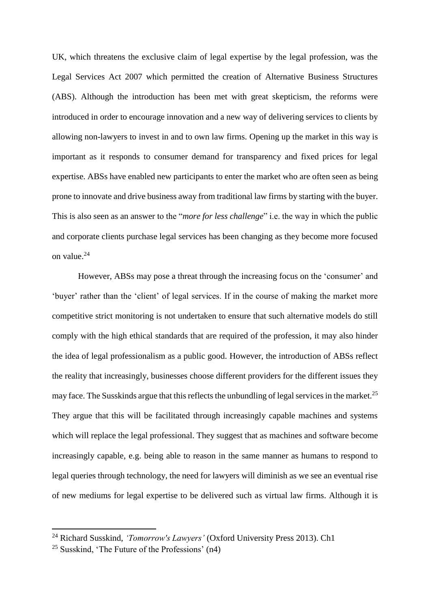UK, which threatens the exclusive claim of legal expertise by the legal profession, was the Legal Services Act 2007 which permitted the creation of Alternative Business Structures (ABS). Although the introduction has been met with great skepticism, the reforms were introduced in order to encourage innovation and a new way of delivering services to clients by allowing non-lawyers to invest in and to own law firms. Opening up the market in this way is important as it responds to consumer demand for transparency and fixed prices for legal expertise. ABSs have enabled new participants to enter the market who are often seen as being prone to innovate and drive business away from traditional law firms by starting with the buyer. This is also seen as an answer to the "*more for less challenge*" i.e. the way in which the public and corporate clients purchase legal services has been changing as they become more focused on value.<sup>24</sup>

However, ABSs may pose a threat through the increasing focus on the 'consumer' and 'buyer' rather than the 'client' of legal services. If in the course of making the market more competitive strict monitoring is not undertaken to ensure that such alternative models do still comply with the high ethical standards that are required of the profession, it may also hinder the idea of legal professionalism as a public good. However, the introduction of ABSs reflect the reality that increasingly, businesses choose different providers for the different issues they may face. The Susskinds argue that this reflects the unbundling of legal services in the market.<sup>25</sup> They argue that this will be facilitated through increasingly capable machines and systems which will replace the legal professional. They suggest that as machines and software become increasingly capable, e.g. being able to reason in the same manner as humans to respond to legal queries through technology, the need for lawyers will diminish as we see an eventual rise of new mediums for legal expertise to be delivered such as virtual law firms. Although it is

l

<sup>24</sup> Richard Susskind, *'Tomorrow's Lawyers'* (Oxford University Press 2013). Ch1

<sup>&</sup>lt;sup>25</sup> Susskind, 'The Future of the Professions'  $(n4)$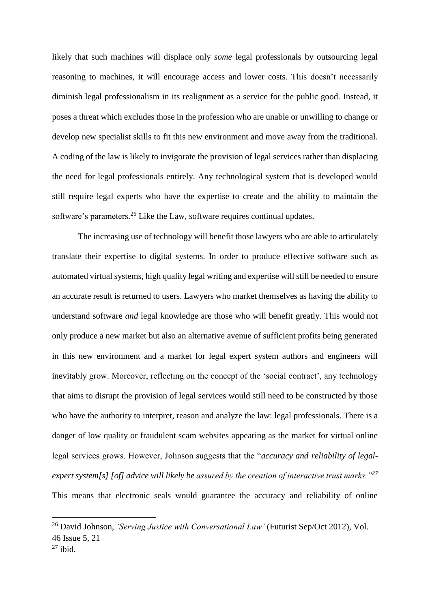likely that such machines will displace only *some* legal professionals by outsourcing legal reasoning to machines, it will encourage access and lower costs. This doesn't necessarily diminish legal professionalism in its realignment as a service for the public good. Instead, it poses a threat which excludes those in the profession who are unable or unwilling to change or develop new specialist skills to fit this new environment and move away from the traditional. A coding of the law is likely to invigorate the provision of legal services rather than displacing the need for legal professionals entirely. Any technological system that is developed would still require legal experts who have the expertise to create and the ability to maintain the software's parameters.<sup>26</sup> Like the Law, software requires continual updates.

The increasing use of technology will benefit those lawyers who are able to articulately translate their expertise to digital systems. In order to produce effective software such as automated virtual systems, high quality legal writing and expertise will still be needed to ensure an accurate result is returned to users. Lawyers who market themselves as having the ability to understand software *and* legal knowledge are those who will benefit greatly. This would not only produce a new market but also an alternative avenue of sufficient profits being generated in this new environment and a market for legal expert system authors and engineers will inevitably grow. Moreover, reflecting on the concept of the 'social contract', any technology that aims to disrupt the provision of legal services would still need to be constructed by those who have the authority to interpret, reason and analyze the law: legal professionals. There is a danger of low quality or fraudulent scam websites appearing as the market for virtual online legal services grows. However, Johnson suggests that the "*accuracy and reliability of legalexpert system[s] [of] advice will likely be assured by the creation of interactive trust marks."<sup>27</sup>* This means that electronic seals would guarantee the accuracy and reliability of online

<sup>26</sup> David Johnson, *'Serving Justice with Conversational Law'* (Futurist Sep/Oct 2012), Vol. 46 Issue 5, 21

 $27$  ibid.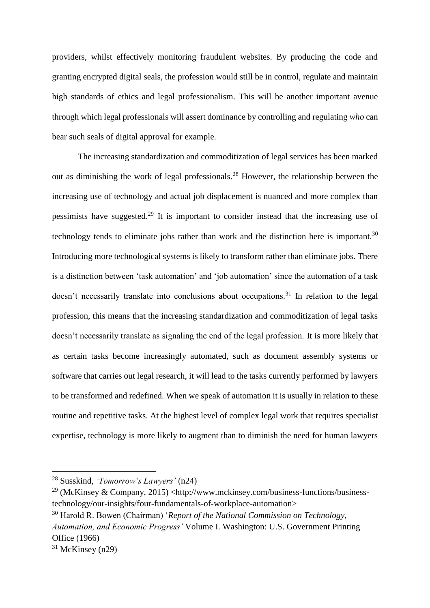providers, whilst effectively monitoring fraudulent websites. By producing the code and granting encrypted digital seals, the profession would still be in control, regulate and maintain high standards of ethics and legal professionalism. This will be another important avenue through which legal professionals will assert dominance by controlling and regulating *who* can bear such seals of digital approval for example.

The increasing standardization and commoditization of legal services has been marked out as diminishing the work of legal professionals.<sup>28</sup> However, the relationship between the increasing use of technology and actual job displacement is nuanced and more complex than pessimists have suggested.<sup>29</sup> It is important to consider instead that the increasing use of technology tends to eliminate jobs rather than work and the distinction here is important.<sup>30</sup> Introducing more technological systems is likely to transform rather than eliminate jobs. There is a distinction between 'task automation' and 'job automation' since the automation of a task doesn't necessarily translate into conclusions about occupations.<sup>31</sup> In relation to the legal profession, this means that the increasing standardization and commoditization of legal tasks doesn't necessarily translate as signaling the end of the legal profession. It is more likely that as certain tasks become increasingly automated, such as document assembly systems or software that carries out legal research, it will lead to the tasks currently performed by lawyers to be transformed and redefined. When we speak of automation it is usually in relation to these routine and repetitive tasks. At the highest level of complex legal work that requires specialist expertise, technology is more likely to augment than to diminish the need for human lawyers

<sup>28</sup> Susskind, *'Tomorrow's Lawyers'* (n24)

 $^{29}$  (McKinsey & Company, 2015) <http://www.mckinsey.com/business-functions/businesstechnology/our-insights/four-fundamentals-of-workplace-automation>

<sup>30</sup> Harold R. Bowen (Chairman) '*Report of the National Commission on Technology, Automation, and Economic Progress'* Volume I. Washington: U.S. Government Printing Office (1966)

 $31$  McKinsey (n29)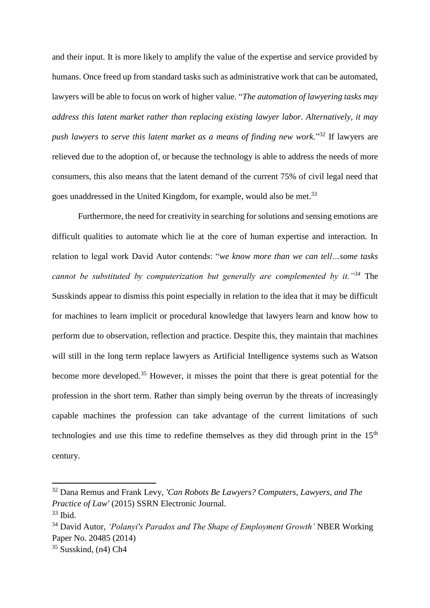and their input. It is more likely to amplify the value of the expertise and service provided by humans. Once freed up from standard tasks such as administrative work that can be automated, lawyers will be able to focus on work of higher value. "*The automation of lawyering tasks may address this latent market rather than replacing existing lawyer labor. Alternatively, it may push lawyers to serve this latent market as a means of finding new work.*" <sup>32</sup> If lawyers are relieved due to the adoption of, or because the technology is able to address the needs of more consumers, this also means that the latent demand of the current 75% of civil legal need that goes unaddressed in the United Kingdom, for example, would also be met.<sup>33</sup>

Furthermore, the need for creativity in searching for solutions and sensing emotions are difficult qualities to automate which lie at the core of human expertise and interaction. In relation to legal work David Autor contends: "*we know more than we can tell…some tasks cannot be substituted by computerization but generally are complemented by it."<sup>34</sup>* The Susskinds appear to dismiss this point especially in relation to the idea that it may be difficult for machines to learn implicit or procedural knowledge that lawyers learn and know how to perform due to observation, reflection and practice. Despite this, they maintain that machines will still in the long term replace lawyers as Artificial Intelligence systems such as Watson become more developed.<sup>35</sup> However, it misses the point that there is great potential for the profession in the short term. Rather than simply being overrun by the threats of increasingly capable machines the profession can take advantage of the current limitations of such technologies and use this time to redefine themselves as they did through print in the  $15<sup>th</sup>$ century.

<sup>32</sup> Dana Remus and Frank Levy, *'Can Robots Be Lawyers? Computers, Lawyers, and The Practice of Law'* (2015) SSRN Electronic Journal.

 $33$  Ibid.

<sup>34</sup> David Autor, *'Polanyi's Paradox and The Shape of Employment Growth'* NBER Working Paper No. 20485 (2014)

<sup>35</sup> Susskind, (n4) Ch4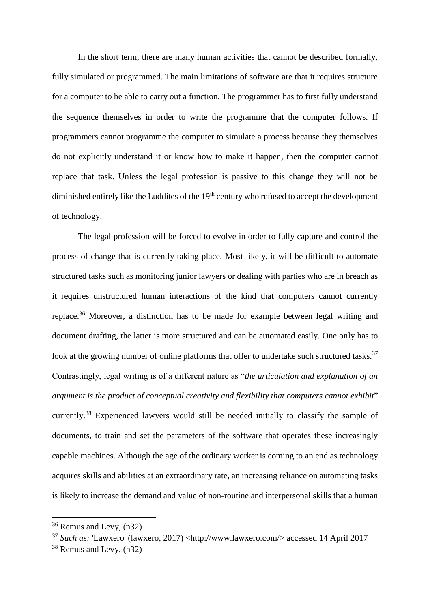In the short term, there are many human activities that cannot be described formally, fully simulated or programmed. The main limitations of software are that it requires structure for a computer to be able to carry out a function. The programmer has to first fully understand the sequence themselves in order to write the programme that the computer follows. If programmers cannot programme the computer to simulate a process because they themselves do not explicitly understand it or know how to make it happen, then the computer cannot replace that task. Unless the legal profession is passive to this change they will not be diminished entirely like the Luddites of the 19<sup>th</sup> century who refused to accept the development of technology.

The legal profession will be forced to evolve in order to fully capture and control the process of change that is currently taking place. Most likely, it will be difficult to automate structured tasks such as monitoring junior lawyers or dealing with parties who are in breach as it requires unstructured human interactions of the kind that computers cannot currently replace.<sup>36</sup> Moreover, a distinction has to be made for example between legal writing and document drafting, the latter is more structured and can be automated easily. One only has to look at the growing number of online platforms that offer to undertake such structured tasks.<sup>37</sup> Contrastingly, legal writing is of a different nature as "*the articulation and explanation of an argument is the product of conceptual creativity and flexibility that computers cannot exhibit*" currently.<sup>38</sup> Experienced lawyers would still be needed initially to classify the sample of documents, to train and set the parameters of the software that operates these increasingly capable machines. Although the age of the ordinary worker is coming to an end as technology acquires skills and abilities at an extraordinary rate, an increasing reliance on automating tasks is likely to increase the demand and value of non-routine and interpersonal skills that a human

<sup>36</sup> Remus and Levy, (n32)

<sup>37</sup> *Such as:* 'Lawxero' (lawxero, 2017) <http://www.lawxero.com/> accessed 14 April 2017

<sup>38</sup> Remus and Levy, (n32)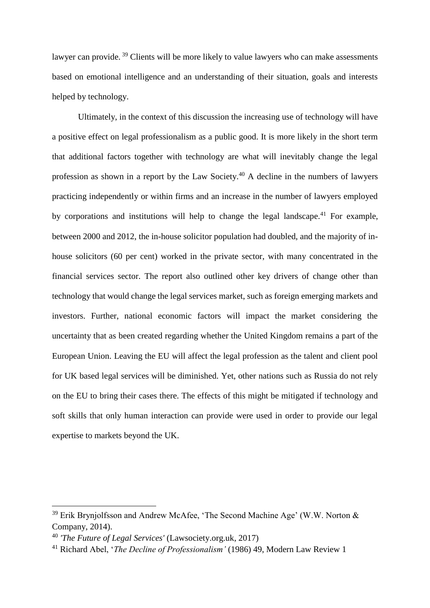lawyer can provide.<sup>39</sup> Clients will be more likely to value lawyers who can make assessments based on emotional intelligence and an understanding of their situation, goals and interests helped by technology.

Ultimately, in the context of this discussion the increasing use of technology will have a positive effect on legal professionalism as a public good. It is more likely in the short term that additional factors together with technology are what will inevitably change the legal profession as shown in a report by the Law Society.<sup>40</sup> A decline in the numbers of lawyers practicing independently or within firms and an increase in the number of lawyers employed by corporations and institutions will help to change the legal landscape.<sup>41</sup> For example, between 2000 and 2012, the in-house solicitor population had doubled, and the majority of inhouse solicitors (60 per cent) worked in the private sector, with many concentrated in the financial services sector. The report also outlined other key drivers of change other than technology that would change the legal services market, such as foreign emerging markets and investors. Further, national economic factors will impact the market considering the uncertainty that as been created regarding whether the United Kingdom remains a part of the European Union. Leaving the EU will affect the legal profession as the talent and client pool for UK based legal services will be diminished. Yet, other nations such as Russia do not rely on the EU to bring their cases there. The effects of this might be mitigated if technology and soft skills that only human interaction can provide were used in order to provide our legal expertise to markets beyond the UK.

<sup>&</sup>lt;sup>39</sup> Erik Brynjolfsson and Andrew McAfee, 'The Second Machine Age' (W.W. Norton  $\&$ Company, 2014).

<sup>40</sup> *'The Future of Legal Services'* (Lawsociety.org.uk, 2017)

<sup>41</sup> Richard Abel, '*The Decline of Professionalism'* (1986) 49, Modern Law Review 1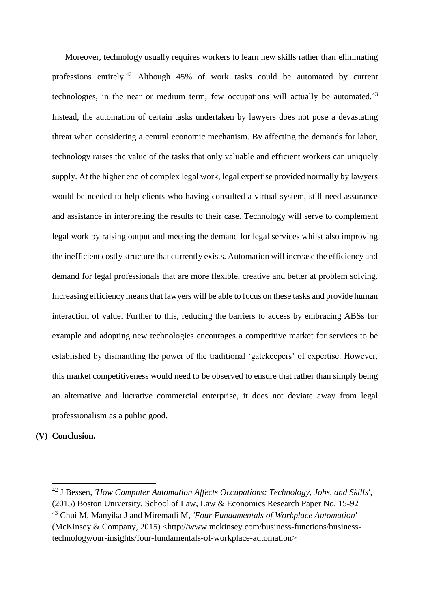Moreover, technology usually requires workers to learn new skills rather than eliminating professions entirely.<sup>42</sup> Although 45% of work tasks could be automated by current technologies, in the near or medium term, few occupations will actually be automated. $43$ Instead, the automation of certain tasks undertaken by lawyers does not pose a devastating threat when considering a central economic mechanism. By affecting the demands for labor, technology raises the value of the tasks that only valuable and efficient workers can uniquely supply. At the higher end of complex legal work, legal expertise provided normally by lawyers would be needed to help clients who having consulted a virtual system, still need assurance and assistance in interpreting the results to their case. Technology will serve to complement legal work by raising output and meeting the demand for legal services whilst also improving the inefficient costly structure that currently exists. Automation will increase the efficiency and demand for legal professionals that are more flexible, creative and better at problem solving. Increasing efficiency means that lawyers will be able to focus on these tasks and provide human interaction of value. Further to this, reducing the barriers to access by embracing ABSs for example and adopting new technologies encourages a competitive market for services to be established by dismantling the power of the traditional 'gatekeepers' of expertise. However, this market competitiveness would need to be observed to ensure that rather than simply being an alternative and lucrative commercial enterprise, it does not deviate away from legal professionalism as a public good.

# **(V) Conclusion.**

<sup>42</sup> J Bessen, *'How Computer Automation Affects Occupations: Technology, Jobs, and Skills'*, (2015) Boston University, School of Law, Law & Economics Research Paper No. 15-92

<sup>43</sup> Chui M, Manyika J and Miremadi M, *'Four Fundamentals of Workplace Automation'* (McKinsey & Company, 2015) <http://www.mckinsey.com/business-functions/businesstechnology/our-insights/four-fundamentals-of-workplace-automation>